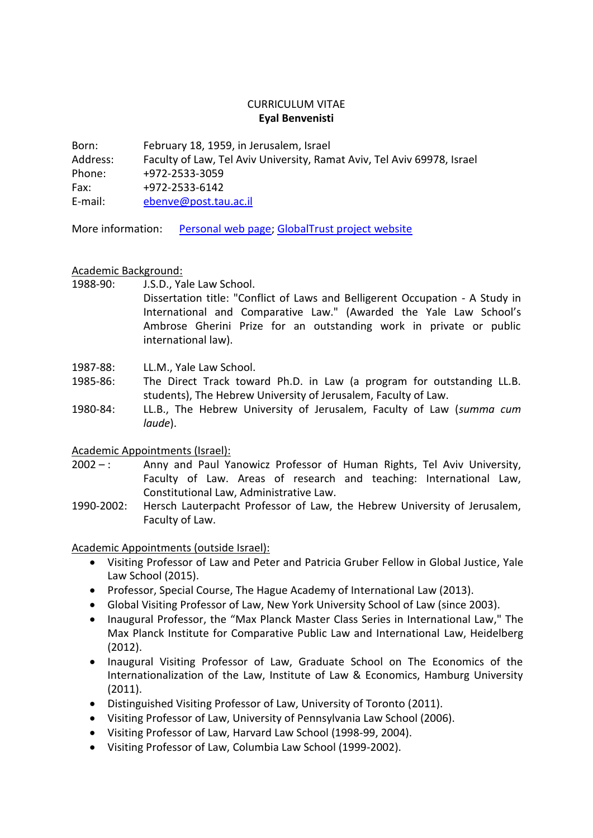## CURRICULUM VITAE **Eyal Benvenisti**

Born: February 18, 1959, in Jerusalem, Israel Address: Faculty of Law, Tel Aviv University, Ramat Aviv, Tel Aviv 69978, Israel Phone: +972-2533-3059 Fax: +972-2533-6142 E-mail: [ebenve@post.tau.ac.il](mailto:ebenve@post.tau.ac.il)

More information: [Personal web page;](http://en-law.tau.ac.il/profile/ebenve) [GlobalTrust project website](http://globaltrust.tau.ac.il/)

# Academic Background:

1988-90: J.S.D., Yale Law School.

Dissertation title: "Conflict of Laws and Belligerent Occupation - A Study in International and Comparative Law." (Awarded the Yale Law School's Ambrose Gherini Prize for an outstanding work in private or public international law).

- 1987-88: LL.M., Yale Law School.
- 1985-86: The Direct Track toward Ph.D. in Law (a program for outstanding LL.B. students), The Hebrew University of Jerusalem, Faculty of Law.
- 1980-84: LL.B., The Hebrew University of Jerusalem, Faculty of Law (*summa cum laude*).

# Academic Appointments (Israel):

- 2002 –: Anny and Paul Yanowicz Professor of Human Rights, Tel Aviv University, Faculty of Law. Areas of research and teaching: International Law, Constitutional Law, Administrative Law.
- 1990-2002: Hersch Lauterpacht Professor of Law, the Hebrew University of Jerusalem, Faculty of Law.

Academic Appointments (outside Israel):

- Visiting Professor of Law and Peter and Patricia Gruber Fellow in Global Justice, Yale Law School (2015).
- Professor, Special Course, The Hague Academy of International Law (2013).
- Global Visiting Professor of Law, New York University School of Law (since 2003).
- Inaugural Professor, the "Max Planck Master Class Series in International Law," The Max Planck Institute for Comparative Public Law and International Law, Heidelberg (2012).
- Inaugural Visiting Professor of Law, Graduate School on The Economics of the Internationalization of the Law, Institute of Law & Economics, Hamburg University (2011).
- Distinguished Visiting Professor of Law, University of Toronto (2011).
- Visiting Professor of Law, University of Pennsylvania Law School (2006).
- Visiting Professor of Law, Harvard Law School (1998-99, 2004).
- Visiting Professor of Law, Columbia Law School (1999-2002).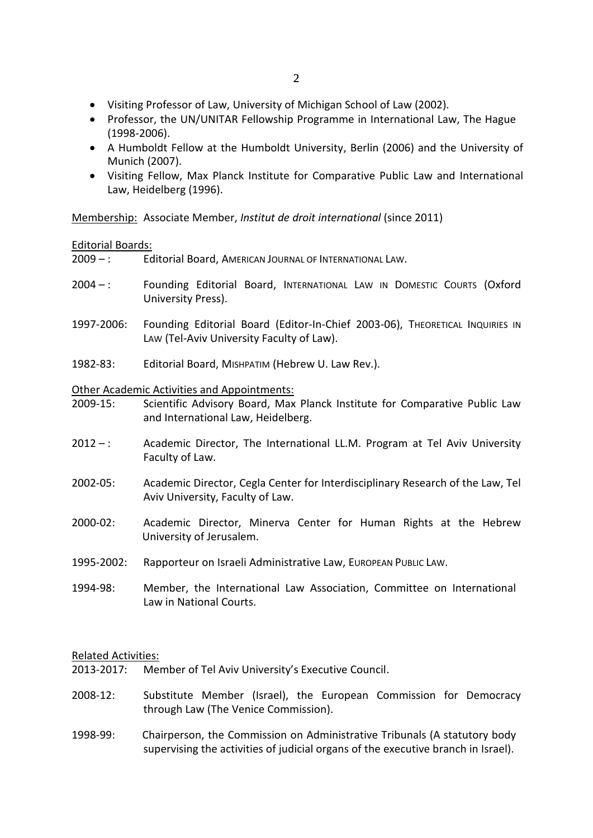- Visiting Professor of Law, University of Michigan School of Law (2002).
- Professor, the UN/UNITAR Fellowship Programme in International Law, The Hague (1998-2006).
- A Humboldt Fellow at the Humboldt University, Berlin (2006) and the University of Munich (2007).
- Visiting Fellow, Max Planck Institute for Comparative Public Law and International Law, Heidelberg (1996).

Membership: Associate Member, *Institut de droit international* (since 2011)

## Editorial Boards:

2009 – : Editorial Board, AMERICAN JOURNAL OF INTERNATIONAL LAW.

- 2004 –: Founding Editorial Board, INTERNATIONAL LAW IN DOMESTIC COURTS (Oxford University Press).
- 1997-2006: Founding Editorial Board (Editor-In-Chief 2003-06), THEORETICAL INQUIRIES IN LAW (Tel-Aviv University Faculty of Law).
- 1982-83: Editorial Board, MISHPATIM (Hebrew U. Law Rev.).

#### Other Academic Activities and Appointments:

- 2009-15: Scientific Advisory Board, Max Planck Institute for Comparative Public Law and International Law, Heidelberg.
- $2012 -$ : Academic Director, The International LL.M. Program at Tel Aviv University Faculty of Law.
- 2002-05: Academic Director, Cegla Center for Interdisciplinary Research of the Law, Tel Aviv University, Faculty of Law.
- 2000-02: Academic Director, Minerva Center for Human Rights at the Hebrew University of Jerusalem.
- 1995-2002: Rapporteur on Israeli Administrative Law, EUROPEAN PUBLIC LAW.
- 1994-98: Member, the International Law Association, Committee on International Law in National Courts.

### Related Activities:

- 2013-2017: Member of Tel Aviv University's Executive Council.
- 2008-12: Substitute Member (Israel), the European Commission for Democracy through Law (The Venice Commission).
- 1998-99: Chairperson, the Commission on Administrative Tribunals (A statutory body supervising the activities of judicial organs of the executive branch in Israel).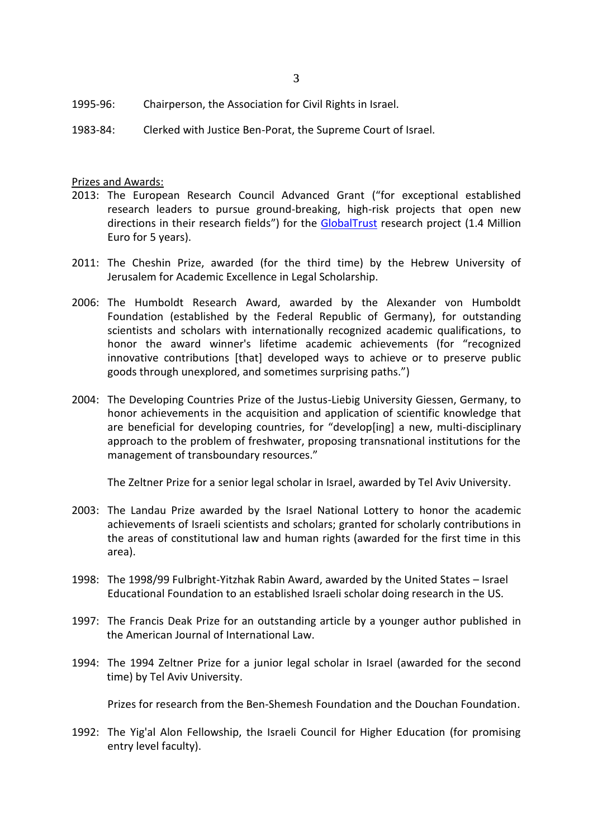- 1995-96: Chairperson, the Association for Civil Rights in Israel.
- 1983-84: Clerked with Justice Ben-Porat, the Supreme Court of Israel.

## Prizes and Awards:

- 2013: The European Research Council Advanced Grant ("for exceptional established research leaders to pursue ground-breaking, high-risk projects that open new directions in their research fields") for the [GlobalTrust](http://globaltrust.tau.ac.il/) research project (1.4 Million Euro for 5 years).
- 2011: The Cheshin Prize, awarded (for the third time) by the Hebrew University of Jerusalem for Academic Excellence in Legal Scholarship.
- 2006: The Humboldt Research Award, awarded by the Alexander von Humboldt Foundation (established by the Federal Republic of Germany), for outstanding scientists and scholars with internationally recognized academic qualifications, to honor the award winner's lifetime academic achievements (for "recognized innovative contributions [that] developed ways to achieve or to preserve public goods through unexplored, and sometimes surprising paths.")
- 2004: The Developing Countries Prize of the Justus-Liebig University Giessen, Germany, to honor achievements in the acquisition and application of scientific knowledge that are beneficial for developing countries, for "develop[ing] a new, multi-disciplinary approach to the problem of freshwater, proposing transnational institutions for the management of transboundary resources."

The Zeltner Prize for a senior legal scholar in Israel, awarded by Tel Aviv University.

- 2003: The Landau Prize awarded by the Israel National Lottery to honor the academic achievements of Israeli scientists and scholars; granted for scholarly contributions in the areas of constitutional law and human rights (awarded for the first time in this area).
- 1998: The 1998/99 Fulbright-Yitzhak Rabin Award, awarded by the United States Israel Educational Foundation to an established Israeli scholar doing research in the US.
- 1997: The Francis Deak Prize for an outstanding article by a younger author published in the American Journal of International Law.
- 1994: The 1994 Zeltner Prize for a junior legal scholar in Israel (awarded for the second time) by Tel Aviv University.

Prizes for research from the Ben-Shemesh Foundation and the Douchan Foundation.

1992: The Yig'al Alon Fellowship, the Israeli Council for Higher Education (for promising entry level faculty).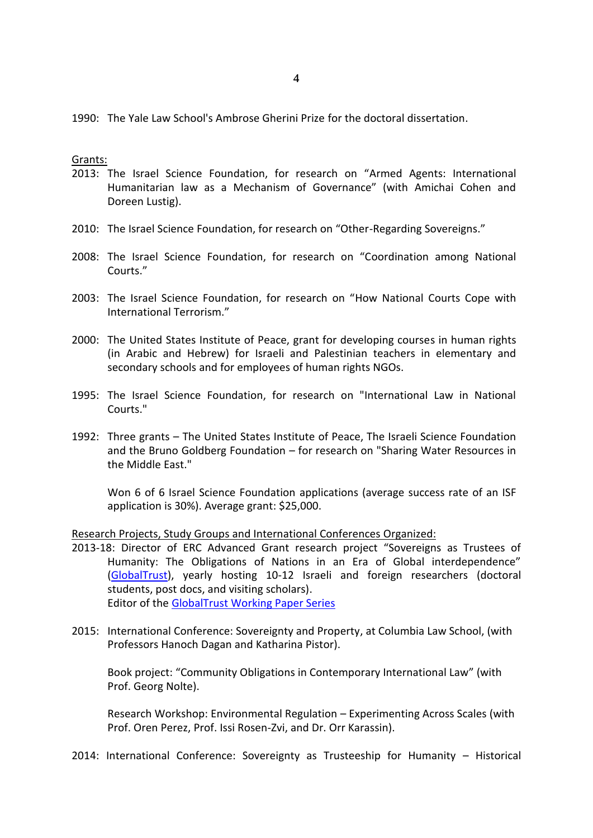1990: The Yale Law School's Ambrose Gherini Prize for the doctoral dissertation.

#### Grants:

- 2013: The Israel Science Foundation, for research on "Armed Agents: International Humanitarian law as a Mechanism of Governance" (with Amichai Cohen and Doreen Lustig).
- 2010: The Israel Science Foundation, for research on "Other-Regarding Sovereigns."
- 2008: The Israel Science Foundation, for research on "Coordination among National Courts."
- 2003: The Israel Science Foundation, for research on "How National Courts Cope with International Terrorism."
- 2000: The United States Institute of Peace, grant for developing courses in human rights (in Arabic and Hebrew) for Israeli and Palestinian teachers in elementary and secondary schools and for employees of human rights NGOs.
- 1995: The Israel Science Foundation, for research on "International Law in National Courts."
- 1992: Three grants The United States Institute of Peace, The Israeli Science Foundation and the Bruno Goldberg Foundation – for research on "Sharing Water Resources in the Middle East."

Won 6 of 6 Israel Science Foundation applications (average success rate of an ISF application is 30%). Average grant: \$25,000.

Research Projects, Study Groups and International Conferences Organized:

- 2013-18: Director of ERC Advanced Grant research project "Sovereigns as Trustees of Humanity: The Obligations of Nations in an Era of Global interdependence" [\(GlobalTrust\)](http://globaltrust.tau.ac.il/), yearly hosting 10-12 Israeli and foreign researchers (doctoral students, post docs, and visiting scholars). Editor of the [GlobalTrust Working Paper Series](http://globaltrust.tau.ac.il/publications)
- 2015: International Conference: Sovereignty and Property, at Columbia Law School, (with Professors Hanoch Dagan and Katharina Pistor).

Book project: "Community Obligations in Contemporary International Law" (with Prof. Georg Nolte).

Research Workshop: Environmental Regulation – Experimenting Across Scales (with Prof. Oren Perez, Prof. Issi Rosen-Zvi, and Dr. Orr Karassin).

2014: International Conference: Sovereignty as Trusteeship for Humanity – Historical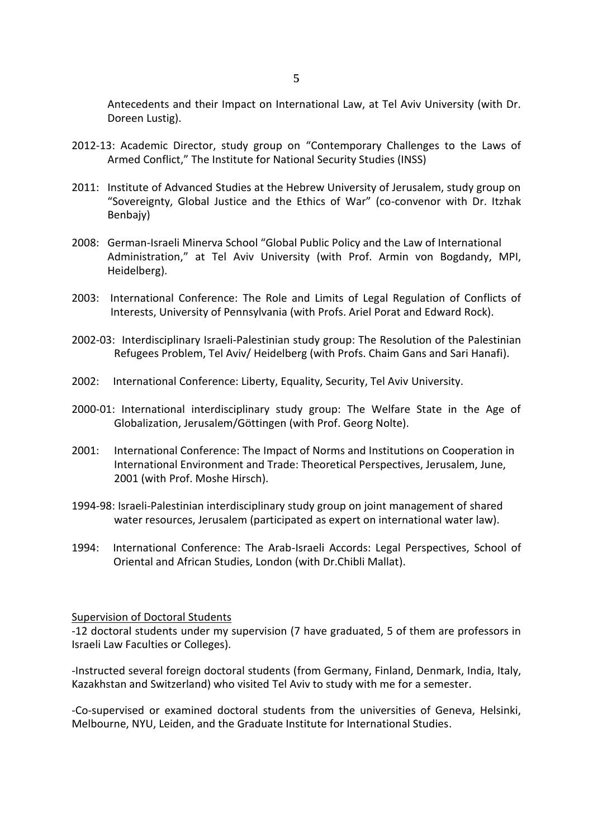Antecedents and their Impact on International Law, at Tel Aviv University (with Dr. Doreen Lustig).

- 2012-13: Academic Director, study group on "Contemporary Challenges to the Laws of Armed Conflict," The Institute for National Security Studies (INSS)
- 2011: Institute of Advanced Studies at the Hebrew University of Jerusalem, study group on "Sovereignty, Global Justice and the Ethics of War" (co-convenor with Dr. Itzhak Benbajy)
- 2008: German-Israeli Minerva School "Global Public Policy and the Law of International Administration," at Tel Aviv University (with Prof. Armin von Bogdandy, MPI, Heidelberg).
- 2003: International Conference: The Role and Limits of Legal Regulation of Conflicts of Interests, University of Pennsylvania (with Profs. Ariel Porat and Edward Rock).
- 2002-03: Interdisciplinary Israeli-Palestinian study group: The Resolution of the Palestinian Refugees Problem, Tel Aviv/ Heidelberg (with Profs. Chaim Gans and Sari Hanafi).
- 2002: International Conference: Liberty, Equality, Security, Tel Aviv University.
- 2000-01: International interdisciplinary study group: The Welfare State in the Age of Globalization, Jerusalem/Göttingen (with Prof. Georg Nolte).
- 2001: International Conference: The Impact of Norms and Institutions on Cooperation in International Environment and Trade: Theoretical Perspectives, Jerusalem, June, 2001 (with Prof. Moshe Hirsch).
- 1994-98: Israeli-Palestinian interdisciplinary study group on joint management of shared water resources, Jerusalem (participated as expert on international water law).
- 1994: International Conference: The Arab-Israeli Accords: Legal Perspectives, School of Oriental and African Studies, London (with Dr.Chibli Mallat).

#### Supervision of Doctoral Students

-12 doctoral students under my supervision (7 have graduated, 5 of them are professors in Israeli Law Faculties or Colleges).

-Instructed several foreign doctoral students (from Germany, Finland, Denmark, India, Italy, Kazakhstan and Switzerland) who visited Tel Aviv to study with me for a semester.

-Co-supervised or examined doctoral students from the universities of Geneva, Helsinki, Melbourne, NYU, Leiden, and the Graduate Institute for International Studies.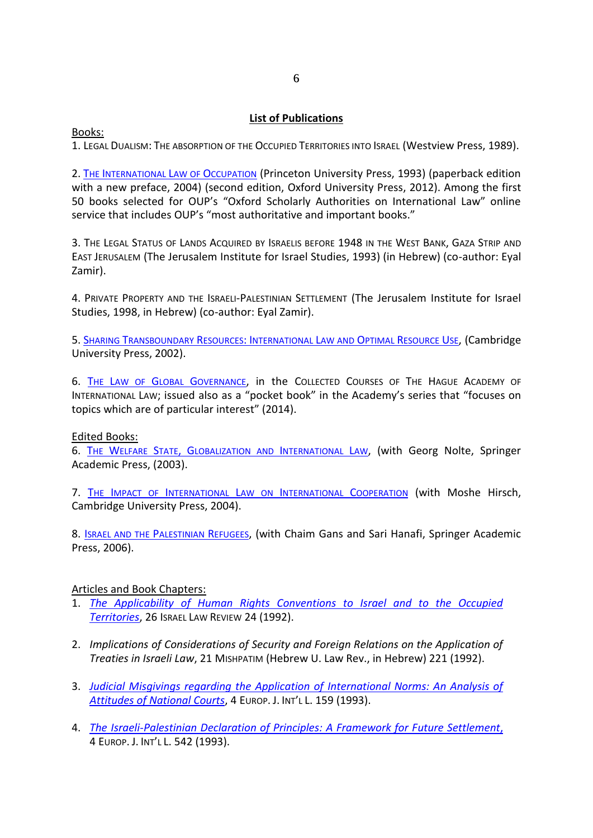# **List of Publications**

Books:

1. LEGAL DUALISM: THE ABSORPTION OF THE OCCUPIED TERRITORIES INTO ISRAEL (Westview Press, 1989).

2. THE I[NTERNATIONAL](http://www.oup.com/us/catalog/general/subject/Law/?view=usa&ci=9780199588893#Author_Information) LAW OF OCCUPATION (Princeton University Press, 1993) (paperback edition with a new preface, 2004) (second edition, Oxford University Press, 2012). Among the first 50 books selected for OUP's "Oxford Scholarly Authorities on International Law" online service that includes OUP's "most authoritative and important books."

3. THE LEGAL STATUS OF LANDS ACQUIRED BY ISRAELIS BEFORE 1948 IN THE WEST BANK, GAZA STRIP AND EAST JERUSALEM (The Jerusalem Institute for Israel Studies, 1993) (in Hebrew) (co-author: Eyal Zamir).

4. PRIVATE PROPERTY AND THE ISRAELI-PALESTINIAN SETTLEMENT (The Jerusalem Institute for Israel Studies, 1998, in Hebrew) (co-author: Eyal Zamir).

5. SHARING T[RANSBOUNDARY](http://www.cambridge.org/catalogue/catalogue.asp?isbn=9780521640985) RESOURCES: INTERNATIONAL LAW AND OPTIMAL RESOURCE USE, (Cambridge University Press, 2002).

6. THE LAW OF GLOBAL G[OVERNANCE](http://www.brill.com/products/book/law-global-governance), in the COLLECTED COURSES OF THE HAGUE ACADEMY OF INTERNATIONAL LAW; issued also as a "pocket book" in the Academy's series that "focuses on topics which are of particular interest" (2014).

Edited Books:

6. THE WELFARE STATE, G[LOBALIZATION AND](http://www.springer.com/law/international/book/978-3-540-01103-3) INTERNATIONAL LAW, (with Georg Nolte, Springer Academic Press, (2003).

7. THE IMPACT OF INTERNATIONAL LAW ON I[NTERNATIONAL](http://www.cambridge.org/us/academic/subjects/law/public-international-law/impact-international-law-international-cooperation-theoretical-perspectives) COOPERATION (with Moshe Hirsch, Cambridge University Press, 2004).

8. **I[SRAEL AND THE](http://www.springer.com/law/international/book/978-3-540-68160-1) PALESTINIAN REFUGEES**, (with Chaim Gans and Sari Hanafi, Springer Academic Press, 2006).

Articles and Book Chapters:

- 1. *[The Applicability of Human Rights Conventions to Israel and to the Occupied](http://heinonline.org/HOL/Page?handle=hein.journals/israel26&div=10&collection=journals&set_as_cursor=0&men_tab=srchresults)  [Territories](http://heinonline.org/HOL/Page?handle=hein.journals/israel26&div=10&collection=journals&set_as_cursor=0&men_tab=srchresults)*, 26 ISRAEL LAW REVIEW 24 (1992).
- 2. *Implications of Considerations of Security and Foreign Relations on the Application of Treaties in Israeli Law*, 21 MISHPATIM (Hebrew U. Law Rev., in Hebrew) 221 (1992).
- 3. *[Judicial Misgivings regarding the Application of International Norms: An Analysis of](http://www.ejil.org/pdfs/4/1/1197.pdf)  [Attitudes of National Courts](http://www.ejil.org/pdfs/4/1/1197.pdf)*, 4 EUROP. J. INT'L L. 159 (1993).
- 4. *[The Israeli-Palestinian Declaration of Principles: A Framework for Future Settlement](http://www.ejil.org/pdfs/4/1/1217.pdf)*, 4 EUROP. J. INT'L L. 542 (1993).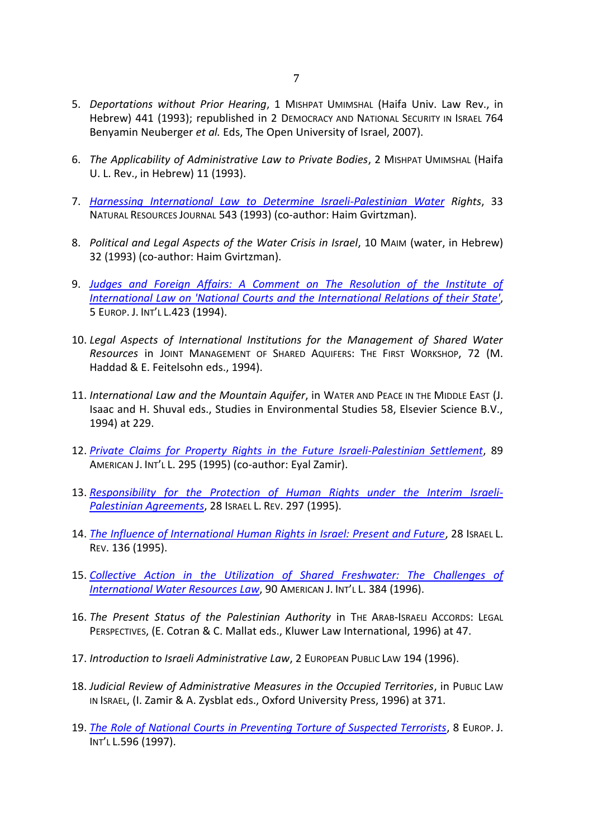- 5. *Deportations without Prior Hearing*, 1 MISHPAT UMIMSHAL (Haifa Univ. Law Rev., in Hebrew) 441 (1993); republished in 2 DEMOCRACY AND NATIONAL SECURITY IN ISRAEL 764 Benyamin Neuberger *et al.* Eds, The Open University of Israel, 2007).
- 6. *The Applicability of Administrative Law to Private Bodies*, 2 MISHPAT UMIMSHAL (Haifa U. L. Rev., in Hebrew) 11 (1993).
- 7. *[Harnessing International Law to Determine Israeli-Palestinian Water](http://heinonline.org/HOL/Page?handle=hein.journals/narj33&div=52&collection=journals&set_as_cursor=3&men_tab=srchresults) Rights*, 33 NATURAL RESOURCES JOURNAL 543 (1993) (co-author: Haim Gvirtzman).
- 8. *Political and Legal Aspects of the Water Crisis in Israel*, 10 MAIM (water, in Hebrew) 32 (1993) (co-author: Haim Gvirtzman).
- 9. *[Judges and Foreign Affairs: A Comment on The Resolution of the Institute of](http://ejil.org/pdfs/5/1/1251.pdf)  [International Law on 'National Courts and the International Relations of their State'](http://ejil.org/pdfs/5/1/1251.pdf)*, 5 EUROP. J. INT'L L.423 (1994).
- 10. *Legal Aspects of International Institutions for the Management of Shared Water Resources* in JOINT MANAGEMENT OF SHARED AQUIFERS: THE FIRST WORKSHOP, 72 (M. Haddad & E. Feitelsohn eds., 1994).
- 11. *International Law and the Mountain Aquifer*, in WATER AND PEACE IN THE MIDDLE EAST (J. Isaac and H. Shuval eds., Studies in Environmental Studies 58, Elsevier Science B.V., 1994) at 229.
- 12. *[Private Claims for Property Rights in the Future Israeli-Palestinian Settlement](http://www.jstor.org/stable/2204205)*, 89 AMERICAN J. INT'L L. 295 (1995) (co-author: Eyal Zamir).
- 13. *[Responsibility for the Protection of Human Rights under the Interim Israeli-](http://heinonline.org/HOL/Page?handle=hein.journals/israel28&div=22&collection=journals&set_as_cursor=5&men_tab=srchresults)[Palestinian Agreements](http://heinonline.org/HOL/Page?handle=hein.journals/israel28&div=22&collection=journals&set_as_cursor=5&men_tab=srchresults)*, 28 ISRAEL L. REV. 297 (1995).
- 14. *[The Influence of International Human Rights in Israel: Present and Future](http://heinonline.org/HOL/Page?handle=hein.journals/israel28&div=12&collection=journals&set_as_cursor=4&men_tab=srchresults)*, 28 ISRAEL L. REV. 136 (1995).
- 15. *[Collective Action in the Utilization of Shared Freshwater: The Challenges of](http://www.jstor.org/stable/pdfplus/2204064.pdf?acceptTC=true)  [International Water Resources Law](http://www.jstor.org/stable/pdfplus/2204064.pdf?acceptTC=true)*, 90 AMERICAN J. INT'L L. 384 (1996).
- 16. *The Present Status of the Palestinian Authority* in THE ARAB-ISRAELI ACCORDS: LEGAL PERSPECTIVES, (E. Cotran & C. Mallat eds., Kluwer Law International, 1996) at 47.
- 17. *Introduction to Israeli Administrative Law*, 2 EUROPEAN PUBLIC LAW 194 (1996).
- 18. *Judicial Review of Administrative Measures in the Occupied Territories*, in PUBLIC LAW IN ISRAEL, (I. Zamir & A. Zysblat eds., Oxford University Press, 1996) at 371.
- 19. *[The Role of National Courts in Preventing Torture of Suspected Terrorists](http://www.ejil.org/pdfs/8/4/787.pdf)*, 8 EUROP. J. INT'L L.596 (1997).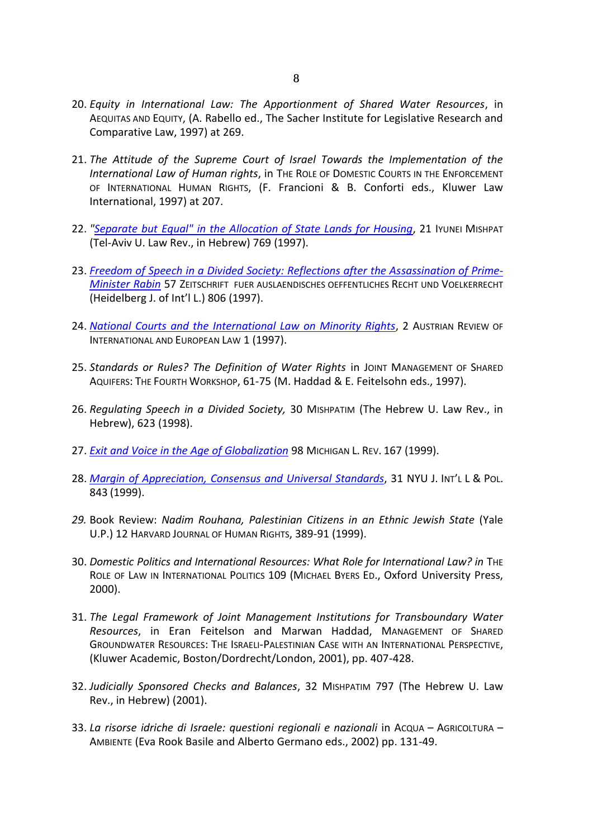- 20. *Equity in International Law: The Apportionment of Shared Water Resources*, in AEQUITAS AND EQUITY, (A. Rabello ed., The Sacher Institute for Legislative Research and Comparative Law, 1997) at 269.
- 21. *The Attitude of the Supreme Court of Israel Towards the Implementation of the International Law of Human rights*, in THE ROLE OF DOMESTIC COURTS IN THE ENFORCEMENT OF INTERNATIONAL HUMAN RIGHTS, (F. Francioni & B. Conforti eds., Kluwer Law International, 1997) at 207.
- 22. ["Separate but Equal" in the Allocation of State Lands for Housing](http://heinonline.org/HOL/Page?handle=hein.journals/telaviv21&div=35&collection=journals&set_as_cursor=12&men_tab=srchresults), 21 IYUNEI MISHPAT (Tel-Aviv U. Law Rev., in Hebrew) 769 (1997).
- 23. *[Freedom of Speech in a Divided Society: Reflections after the Assassination of Prime-](http://www.zaoerv.de/57_1997/57_1997_4_a_805_836.pdf)[Minister Rabin](http://www.zaoerv.de/57_1997/57_1997_4_a_805_836.pdf)* 57 ZEITSCHRIFT FUER AUSLAENDISCHES OEFFENTLICHES RECHT UND VOELKERRECHT (Heidelberg J. of Int'l L.) 806 (1997).
- 24. *[National Courts and the International Law on Minority Rights](http://heinonline.org/HOL/Page?handle=hein.intyb/aurviel0002&div=8&collection=intyb&set_as_cursor=4&men_tab=srchresults&terms=Benvenisti,%20Eyal&type=matchall)*, 2 AUSTRIAN REVIEW OF INTERNATIONAL AND EUROPEAN LAW 1 (1997).
- 25. *Standards or Rules? The Definition of Water Rights* in JOINT MANAGEMENT OF SHARED AQUIFERS: THE FOURTH WORKSHOP, 61-75 (M. Haddad & E. Feitelsohn eds., 1997).
- 26. *Regulating Speech in a Divided Society,* 30 MISHPATIM (The Hebrew U. Law Rev., in Hebrew), 623 (1998).
- 27. *Exit [and Voice in the Age of Globalization](http://www.jstor.org/pss/1290198)* 98 MICHIGAN L. REV. 167 (1999).
- 28. *[Margin of Appreciation, Consensus and Universal Standards](http://www.pict-pcti.org/publications/PICT_articles/JILP/Benvenisti.pdf)*, 31 NYU J. INT'L L & POL. 843 (1999).
- *29.* Book Review: *Nadim Rouhana, Palestinian Citizens in an Ethnic Jewish State* (Yale U.P.) 12 HARVARD JOURNAL OF HUMAN RIGHTS, 389-91 (1999).
- 30. *Domestic Politics and International Resources: What Role for International Law? in* THE ROLE OF LAW IN INTERNATIONAL POLITICS 109 (MICHAEL BYERS ED., Oxford University Press, 2000).
- 31. *The Legal Framework of Joint Management Institutions for Transboundary Water Resources*, in Eran Feitelson and Marwan Haddad, MANAGEMENT OF SHARED GROUNDWATER RESOURCES: THE ISRAELI-PALESTINIAN CASE WITH AN INTERNATIONAL PERSPECTIVE, (Kluwer Academic, Boston/Dordrecht/London, 2001), pp. 407-428.
- 32. *Judicially Sponsored Checks and Balances*, 32 MISHPATIM 797 (The Hebrew U. Law Rev., in Hebrew) (2001).
- 33. *La risorse idriche di Israele: questioni regionali e nazionali* in ACQUA AGRICOLTURA AMBIENTE (Eva Rook Basile and Alberto Germano eds., 2002) pp. 131-49.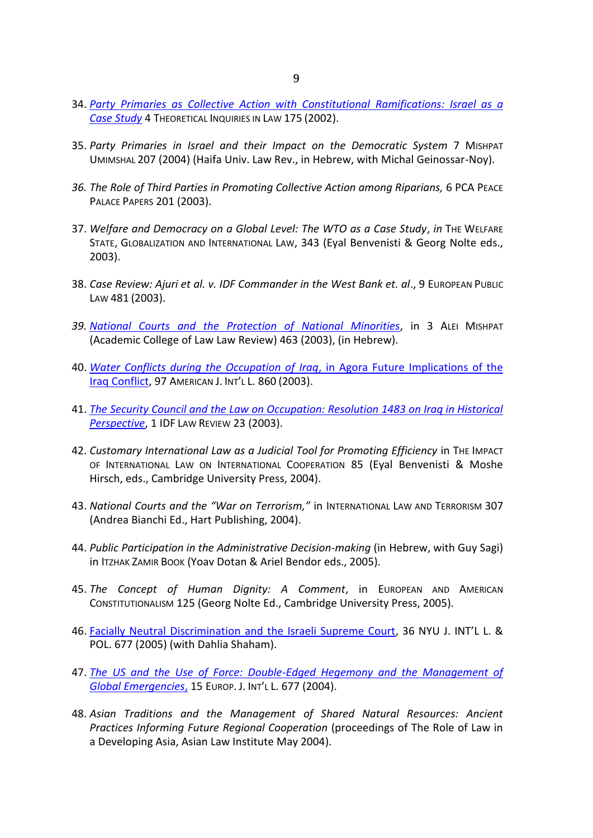- 34. *[Party Primaries as Collective Action with Constitutional Ramifications: Israel as a](http://www7.tau.ac.il/ojs/index.php/til/article/viewFile/228/204)  [Case Study](http://www7.tau.ac.il/ojs/index.php/til/article/viewFile/228/204)* 4 THEORETICAL INQUIRIES IN LAW 175 (2002).
- 35. *Party Primaries in Israel and their Impact on the Democratic System* 7 MISHPAT UMIMSHAL 207 (2004) (Haifa Univ. Law Rev., in Hebrew, with Michal Geinossar-Noy).
- *36. The Role of Third Parties in Promoting Collective Action among Riparians,* 6 PCA PEACE PALACE PAPERS 201 (2003).
- 37. *Welfare and Democracy on a Global Level: The WTO as a Case Study*, *in* THE WELFARE STATE, GLOBALIZATION AND INTERNATIONAL LAW, 343 (Eyal Benvenisti & Georg Nolte eds., 2003).
- 38. *Case Review: Ajuri et al. v. IDF Commander in the West Bank et. al*., 9 EUROPEAN PUBLIC LAW 481 (2003).
- *39. [National Courts and the Protection of National Minorities](http://heinonline.org/HOL/Page?handle=hein.journals/aleimispt3&div=27&collection=journals&set_as_cursor=6&men_tab=srchresults)*, in 3 ALEI MISHPAT (Academic College of Law Law Review) 463 (2003), (in Hebrew).
- 40. *[Water Conflicts during the Occupation of Iraq](http://heinonline.org/HOL/Page?handle=hein.journals/ajil97&div=62&collection=journals&set_as_cursor=17&men_tab=srchresults)*, in Agora Future Implications of the [Iraq Conflict,](http://heinonline.org/HOL/Page?handle=hein.journals/ajil97&div=62&collection=journals&set_as_cursor=17&men_tab=srchresults) 97 AMERICAN J. INT'L L. 860 (2003).
- 41. *[The Security Council and the Law on Occupation: Resolution 1483 on Iraq in Historical](http://heinonline.org/HOL/Page?handle=hein.journals/idflr1&div=7&collection=journals&set_as_cursor=27&men_tab=srchresults&terms=Benvenisti,%20Eyal&type=matchall)  [Perspective](http://heinonline.org/HOL/Page?handle=hein.journals/idflr1&div=7&collection=journals&set_as_cursor=27&men_tab=srchresults&terms=Benvenisti,%20Eyal&type=matchall)*, 1 IDF LAW REVIEW 23 (2003).
- 42. *Customary International Law as a Judicial Tool for Promoting Efficiency* in THE IMPACT OF INTERNATIONAL LAW ON INTERNATIONAL COOPERATION 85 (Eyal Benvenisti & Moshe Hirsch, eds., Cambridge University Press, 2004).
- 43. *National Courts and the "War on Terrorism,"* in INTERNATIONAL LAW AND TERRORISM 307 (Andrea Bianchi Ed., Hart Publishing, 2004).
- 44. *Public Participation in the Administrative Decision-making* (in Hebrew, with Guy Sagi) in ITZHAK ZAMIR BOOK (Yoav Dotan & Ariel Bendor eds., 2005).
- 45. *The Concept of Human Dignity: A Comment*, in EUROPEAN AND AMERICAN CONSTITUTIONALISM 125 (Georg Nolte Ed., Cambridge University Press, 2005).
- 46. [Facially Neutral Discrimination and the Israeli Supreme Court](http://heinonline.org/HOL/Page?handle=hein.journals/nyuilp36&div=24&collection=journals&set_as_cursor=15&men_tab=srchresults), 36 NYU J. INT'L L. & POL. 677 (2005) (with Dahlia Shaham).
- 47. *[The US and the Use of Force: Double-Edged Hegemony and the Management of](http://law.bepress.com/cgi/viewcontent.cgi?article=1012&context=taulwps&preview_mode=1&z=1104825902)  [Global Emergencies](http://law.bepress.com/cgi/viewcontent.cgi?article=1012&context=taulwps&preview_mode=1&z=1104825902)*, 15 EUROP. J. INT'L L. 677 (2004).
- 48. *Asian Traditions and the Management of Shared Natural Resources: Ancient Practices Informing Future Regional Cooperation* (proceedings of The Role of Law in a Developing Asia, Asian Law Institute May 2004).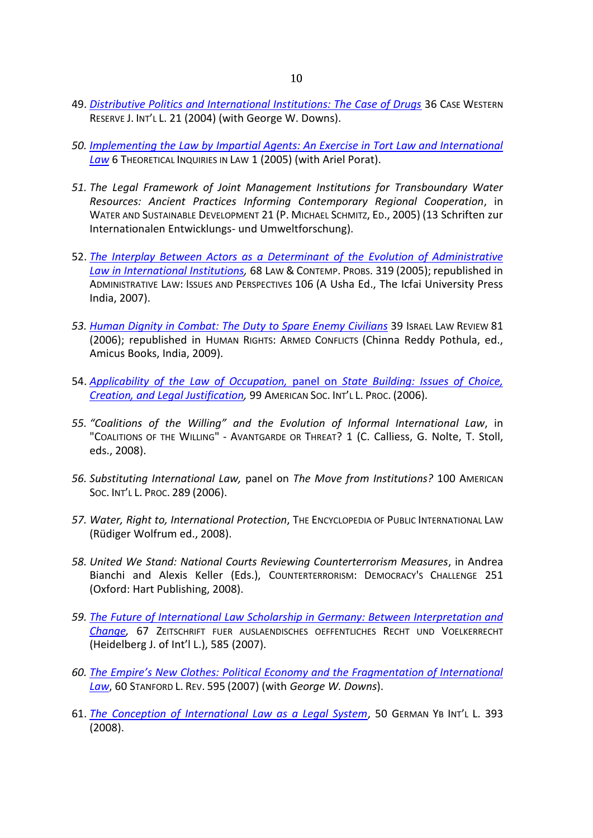- 49. *[Distributive Politics and International Institutions: The Case of Drugs](http://papers.ssrn.com/sol3/papers.cfm?abstract_id=2124074)* 36 CASE WESTERN RESERVE J. INT'L L. 21 (2004) (with George W. Downs).
- *50. [Implementing the Law by Impartial Agents: An Exercise in Tort Law and International](http://www.tau.ac.il/law/members/porat-ariel/Impartial%20Agents-Bepress.pdf)  [Law](http://www.tau.ac.il/law/members/porat-ariel/Impartial%20Agents-Bepress.pdf)* 6 THEORETICAL INQUIRIES IN LAW 1 (2005) (with Ariel Porat).
- *51. The Legal Framework of Joint Management Institutions for Transboundary Water Resources: Ancient Practices Informing Contemporary Regional Cooperation*, in WATER AND SUSTAINABLE DEVELOPMENT 21 (P. MICHAEL SCHMITZ, ED., 2005) (13 Schriften zur Internationalen Entwicklungs- und Umweltforschung).
- 52. *[The Interplay Between Actors as a Determinant of the Evolution of Administrative](http://scholarship.law.duke.edu/cgi/viewcontent.cgi?article=1369&context=lcp)  [Law in International Institutions,](http://scholarship.law.duke.edu/cgi/viewcontent.cgi?article=1369&context=lcp)* 68 LAW & CONTEMP. PROBS. 319 (2005); republished in ADMINISTRATIVE LAW: ISSUES AND PERSPECTIVES 106 (A Usha Ed., The Icfai University Press India, 2007).
- *53. [Human Dignity in Combat: The Duty to Spare Enemy Civilians](http://papers.ssrn.com/sol3/papers.cfm?abstract_id=892522)* 39 ISRAEL LAW REVIEW 81 (2006); republished in HUMAN RIGHTS: ARMED CONFLICTS (Chinna Reddy Pothula, ed., Amicus Books, India, 2009).
- 54. *[Applicability of the Law of Occupation,](http://heinonline.org/HOL/Page?handle=hein.journals/asilp99&div=10&collection=journals&set_as_cursor=22&men_tab=srchresults)* panel on *State Building: Issues of Choice, [Creation, and Legal Justification,](http://heinonline.org/HOL/Page?handle=hein.journals/asilp99&div=10&collection=journals&set_as_cursor=22&men_tab=srchresults)* 99 AMERICAN SOC. INT'L L. PROC. (2006).
- *55. "Coalitions of the Willing" and the Evolution of Informal International Law*, in "COALITIONS OF THE WILLING" - AVANTGARDE OR THREAT? 1 (C. Calliess, G. Nolte, T. Stoll, eds., 2008).
- *56. Substituting International Law,* panel on *The Move from Institutions?* 100 AMERICAN SOC. INT'L L. PROC. 289 (2006).
- *57. Water, Right to, International Protection*, THE ENCYCLOPEDIA OF PUBLIC INTERNATIONAL LAW (Rüdiger Wolfrum ed., 2008).
- *58. United We Stand: National Courts Reviewing Counterterrorism Measures*, in Andrea Bianchi and Alexis Keller (Eds.), COUNTERTERRORISM: DEMOCRACY'S CHALLENGE 251 (Oxford: Hart Publishing, 2008).
- *59. [The Future of International Law Scholarship in Germany: Between Interpretation and](http://www.zaoerv.de/67_2007/67_2007_3_a_585_598.pdf)  [Change,](http://www.zaoerv.de/67_2007/67_2007_3_a_585_598.pdf)* 67 ZEITSCHRIFT FUER AUSLAENDISCHES OEFFENTLICHES RECHT UND VOELKERRECHT (Heidelberg J. of Int'l L.), 585 (2007).
- *60. [The Empire's New Clothes: Political Economy and the Fragmentation of International](http://papers.ssrn.com/sol3/papers.cfm?abstract_id=976930)  [Law](http://papers.ssrn.com/sol3/papers.cfm?abstract_id=976930)*, 60 STANFORD L. REV. 595 (2007) (with *George W. Downs*).
- 61. *[The Conception of International Law as a Legal System](http://papers.ssrn.com/sol3/papers.cfm?abstract_id=1124882)*, 50 GERMAN YB INT'L L. 393 (2008).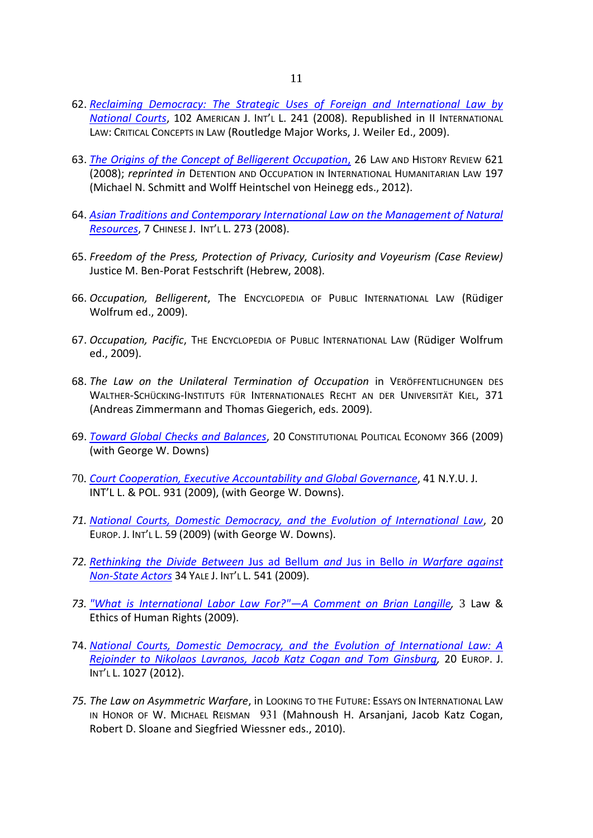- 62. *[Reclaiming Democracy: The Strategic Uses of Foreign and International Law by](http://papers.ssrn.com/sol3/papers.cfm?abstract_id=1007453)  [National Courts](http://papers.ssrn.com/sol3/papers.cfm?abstract_id=1007453)*, 102 AMERICAN J. INT'L L. 241 (2008). Republished in II INTERNATIONAL LAW: CRITICAL CONCEPTS IN LAW (Routledge Major Works, J. Weiler Ed., 2009).
- 63. *[The Origins of the Concept of Belligerent Occupation](http://journals.cambridge.org/action/displayFulltext?type=1&fid=7788973&jid=LHR&volumeId=26&issueId=03&aid=7788971)*, 26 LAW AND HISTORY REVIEW 621 (2008); *reprinted in* DETENTION AND OCCUPATION IN INTERNATIONAL HUMANITARIAN LAW 197 (Michael N. Schmitt and Wolff Heintschel von Heinegg eds., 2012).
- 64. *[Asian Traditions and Contemporary International Law on the Management of Natural](http://papers.ssrn.com/sol3/papers.cfm?abstract_id=1158240)  [Resources](http://papers.ssrn.com/sol3/papers.cfm?abstract_id=1158240)*, 7 CHINESE J. INT'L L. 273 (2008).
- 65. *Freedom of the Press, Protection of Privacy, Curiosity and Voyeurism (Case Review)* Justice M. Ben-Porat Festschrift (Hebrew, 2008).
- 66. *Occupation, Belligerent*, The ENCYCLOPEDIA OF PUBLIC INTERNATIONAL LAW (Rüdiger Wolfrum ed., 2009).
- 67. *Occupation, Pacific*, THE ENCYCLOPEDIA OF PUBLIC INTERNATIONAL LAW (Rüdiger Wolfrum ed., 2009).
- 68. *The Law on the Unilateral Termination of Occupation* in VERÖFFENTLICHUNGEN DES WALTHER-SCHÜCKING-INSTITUTS FÜR INTERNATIONALES RECHT AN DER UNIVERSITÄT KIEL, 371 (Andreas Zimmermann and Thomas Giegerich, eds. 2009).
- 69. *[Toward Global Checks and Balances](http://download.springer.com/static/pdf/64/art%253A10.1007%252Fs10602-008-9071-3.pdf?auth66=1417519925_94b0ad6104d9716408d6f7b675a47f49&ext=.pdf)*, 20 CONSTITUTIONAL POLITICAL ECONOMY 366 (2009) (with George W. Downs)
- 70. *[Court Cooperation, Executive Accountability](http://papers.ssrn.com/sol3/papers.cfm?abstract_id=1409406) and Global Governance*, 41 N.Y.U. J. INT'L L. & POL. 931 (2009), (with George W. Downs).
- *71. [National Courts, Domestic Democracy, and the Evolution of International Law](http://politics.as.nyu.edu/docs/IO/2591/NationalCourts.pdf)*, 20 EUROP. J. INT'L L. 59 (2009) (with George W. Downs).
- *72. [Rethinking the Divide Between](http://papers.ssrn.com/sol3/papers.cfm?abstract_id=1403882)* Jus ad Bellum *and* Jus in Bello *in Warfare against [Non-State Actors](http://papers.ssrn.com/sol3/papers.cfm?abstract_id=1403882)* 34 YALE J. INT'L L. 541 (2009).
- *73. ["What is International Labor Law For?"](https://www.academia.edu/4348227/Comment_on_Brian_Langille_What_is_International_Labor_Law_For)—A Comment on Brian Langille,* 3 Law & Ethics of Human Rights (2009).
- 74. *[National Courts, Domestic Democracy, and the Evolution of International Law: A](http://www.ejil.org/pdfs/20/4/1918.pdf)  [Rejoinder to Nikolaos Lavranos, Jacob Katz Cogan and Tom Ginsburg,](http://www.ejil.org/pdfs/20/4/1918.pdf)* 20 EUROP. J. INT'L L. 1027 (2012).
- *75. The Law on Asymmetric Warfare*, in LOOKING TO THE FUTURE: ESSAYS ON INTERNATIONAL LAW IN HONOR OF W. MICHAEL REISMAN 931 (Mahnoush H. Arsanjani, Jacob Katz Cogan, Robert D. Sloane and Siegfried Wiessner eds., 2010).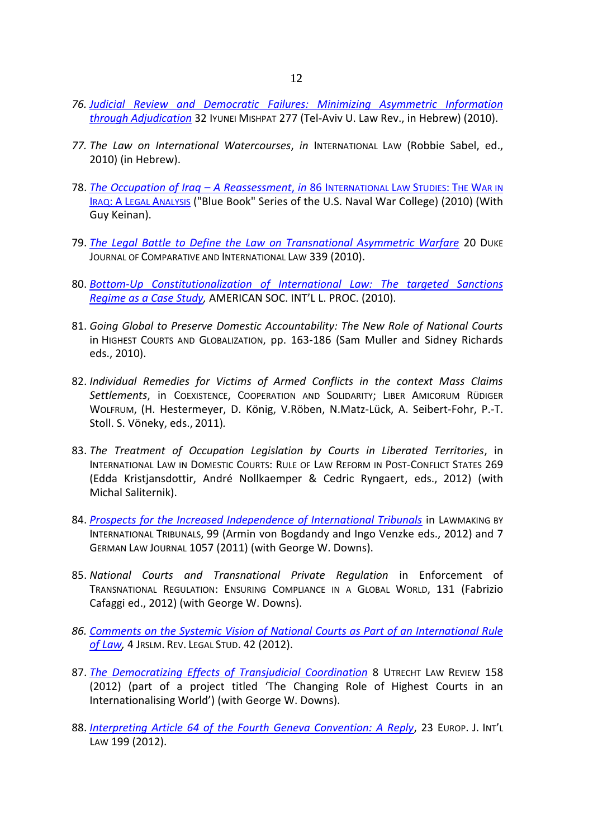- *76. Judicial [Review and Democratic Failures: Minimizing Asymmetric Information](http://heinonline.org/HOL/Page?handle=hein.journals/telaviv32&div=12&collection=journals&set_as_cursor=13&men_tab=srchresults)  [through Adjudication](http://heinonline.org/HOL/Page?handle=hein.journals/telaviv32&div=12&collection=journals&set_as_cursor=13&men_tab=srchresults)* 32 IYUNEI MISHPAT 277 (Tel-Aviv U. Law Rev., in Hebrew) (2010).
- *77. The Law on International Watercourses*, *in* INTERNATIONAL LAW (Robbie Sabel, ed., 2010) (in Hebrew).
- 78. *[The Occupation of Iraq](https://www.usnwc.edu/getattachment/99d03159-fe45-4c61-95f9-a5d5e6eb4da3/The-Occupation-of-Iraq--A-Reassessment.aspx) – A Reassessment*, *in* 86 INTERNATIONAL LAW STUDIES: THE WAR IN IRAQ: A LEGAL A[NALYSIS](https://www.usnwc.edu/getattachment/99d03159-fe45-4c61-95f9-a5d5e6eb4da3/The-Occupation-of-Iraq--A-Reassessment.aspx) ("Blue Book" Series of the U.S. Naval War College) (2010) (With Guy Keinan).
- 79. *[The Legal Battle to Define the Law on Transnational Asymmetric Warfare](77.%09The%20Legal%20Battle%20to%20Define%20the%20Law%20on%20Transnational%20Asymmetric%20Warfare)* 20 DUKE JOURNAL OF COMPARATIVE AND INTERNATIONAL LAW 339 (2010).
- 80. *[Bottom-Up Constitutionalization of International Law: The targeted Sanctions](http://heinonline.org/HOL/Page?handle=hein.journals/asilp104&div=123&collection=journals&set_as_cursor=33&men_tab=srchresults)  [Regime as a Case Study,](http://heinonline.org/HOL/Page?handle=hein.journals/asilp104&div=123&collection=journals&set_as_cursor=33&men_tab=srchresults)* AMERICAN SOC. INT'L L. PROC. (2010).
- 81. *Going Global to Preserve Domestic Accountability: The New Role of National Courts* in HIGHEST COURTS AND GLOBALIZATION, pp. 163-186 (Sam Muller and Sidney Richards eds., 2010).
- 82. *Individual Remedies for Victims of Armed Conflicts in the context Mass Claims Settlements*, in COEXISTENCE, COOPERATION AND SOLIDARITY; LIBER AMICORUM RÜDIGER WOLFRUM, (H. Hestermeyer, D. König, V.Röben, N.Matz-Lück, A. Seibert-Fohr, P.-T. Stoll. S. Vöneky, eds., 2011)*.*
- 83. *The Treatment of Occupation Legislation by Courts in Liberated Territories*, in INTERNATIONAL LAW IN DOMESTIC COURTS: RULE OF LAW REFORM IN POST-CONFLICT STATES 269 (Edda Kristjansdottir, André Nollkaemper & Cedric Ryngaert, eds., 2012) (with Michal Saliternik).
- 84. *[Prospects for the Increased Independence of International Tribunals](http://www.germanlawjournal.com/index.php?pageID=11&artID=1353)* in LAWMAKING BY INTERNATIONAL TRIBUNALS, 99 (Armin von Bogdandy and Ingo Venzke eds., 2012) and 7 GERMAN LAW JOURNAL 1057 (2011) (with George W. Downs).
- 85. *National Courts and Transnational Private Regulation* in Enforcement of TRANSNATIONAL REGULATION: ENSURING COMPLIANCE IN A GLOBAL WORLD, 131 (Fabrizio Cafaggi ed., 2012) (with George W. Downs).
- *86. [Comments on the Systemic Vision of National Courts as Part of an International Rule](http://heinonline.org/HOL/Page?handle=hein.journals/jerusrls4&div=7&collection=journals&set_as_cursor=22&men_tab=srchresults)  [of Law,](http://heinonline.org/HOL/Page?handle=hein.journals/jerusrls4&div=7&collection=journals&set_as_cursor=22&men_tab=srchresults)* 4 JRSLM. REV. LEGAL STUD. 42 (2012).
- 87. *[The Democratizing Effects of Transjudicial Coordination](http://www.utrechtlawreview.org/index.php/ulr/article/view/201/199)* 8 UTRECHT LAW REVIEW 158 (2012) (part of a project titled 'The Changing Role of Highest Courts in an Internationalising World') (with George W. Downs).
- 88. *[Interpreting Article 64 of the Fourth Geneva Convention: A Reply](http://ejil.oxfordjournals.org/content/23/1/199.abstract)*, 23 EUROP. J. INT'L LAW 199 (2012).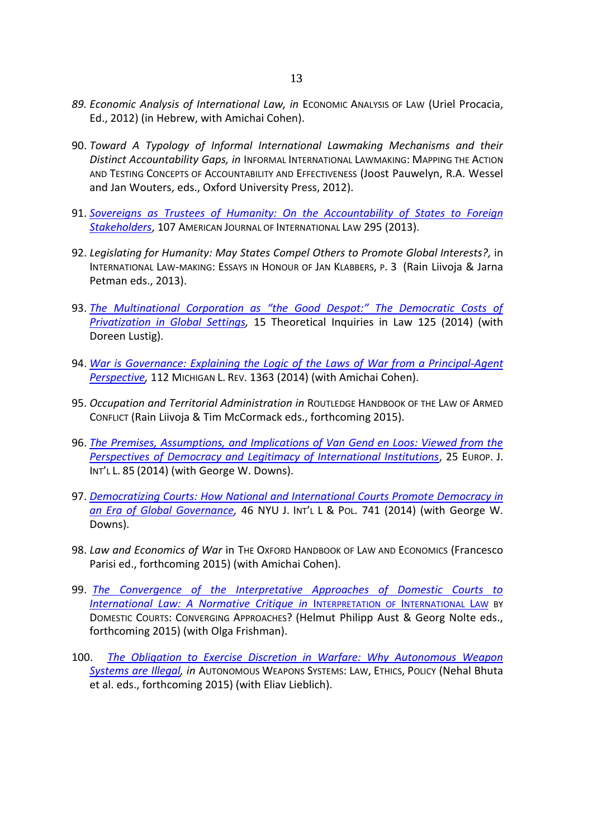- *89. Economic Analysis of International Law, in* ECONOMIC ANALYSIS OF LAW (Uriel Procacia, Ed., 2012) (in Hebrew, with Amichai Cohen).
- 90. *Toward A Typology of Informal International Lawmaking Mechanisms and their Distinct Accountability Gaps, in* INFORMAL INTERNATIONAL LAWMAKING: MAPPING THE ACTION AND TESTING CONCEPTS OF ACCOUNTABILITY AND EFFECTIVENESS (Joost Pauwelyn, R.A. Wessel and Jan Wouters, eds., Oxford University Press, 2012).
- 91. *[Sovereigns as Trustees of Humanity: On the Accountability of](http://www.jstor.org/stable/10.5305/amerjintelaw.107.2.0295) States to Foreign [Stakeholders](http://www.jstor.org/stable/10.5305/amerjintelaw.107.2.0295)*, 107 AMERICAN JOURNAL OF INTERNATIONAL LAW 295 (2013).
- 92. *Legislating for Humanity: May States Compel Others to Promote Global Interests?,* in INTERNATIONAL LAW-MAKING: ESSAYS IN HONOUR OF JAN KLABBERS, P. 3 (Rain Liivoja & Jarna Petman eds., 2013).
- 93. *[The Multinational Corporation as "the Good Despot:" The Democratic Costs of](http://globaltrust.tau.ac.il/wp-content/uploads/2013/05/The-Corporation-as-the-Good-Despot.pdf)  [Privatization in Global Settings,](http://globaltrust.tau.ac.il/wp-content/uploads/2013/05/The-Corporation-as-the-Good-Despot.pdf)* 15 Theoretical Inquiries in Law 125 (2014) (with Doreen Lustig).
- 94. *[War is Governance: Explaining the Logic of the Laws of War from a Principal-Agent](http://www.michiganlawreview.org/assets/pdfs/112/8/Benvenisti_Cohen.pdf)  [Perspective,](http://www.michiganlawreview.org/assets/pdfs/112/8/Benvenisti_Cohen.pdf)* 112 MICHIGAN L. REV. 1363 (2014) (with Amichai Cohen).
- 95. *Occupation and Territorial Administration in* ROUTLEDGE HANDBOOK OF THE LAW OF ARMED CONFLICT (Rain Liivoja & Tim McCormack eds., forthcoming 2015).
- 96. *[The Premises, Assumptions, and Implications of Van Gend en Loos: Viewed from the](http://www.ejil.org/pdfs/25/1/2477.pdf)  [Perspectives of Democracy and Legitimacy of International Institutions](http://www.ejil.org/pdfs/25/1/2477.pdf)*, 25 EUROP. J. INT'L L. 85 (2014) (with George W. Downs).
- 97. *[Democratizing Courts: How National and International Courts Promote](http://globaltrust.tau.ac.il/democratizing-courts-how-national-and-international-courts-are-promoting-democracy-in-an-era-of-global-governance-2/) Democracy in [an Era of Global Governance,](http://globaltrust.tau.ac.il/democratizing-courts-how-national-and-international-courts-are-promoting-democracy-in-an-era-of-global-governance-2/)* 46 NYU J. INT'L L & POL. 741 (2014) (with George W. Downs).
- 98. *Law and Economics of War* in THE OXFORD HANDBOOK OF LAW AND ECONOMICS (Francesco Parisi ed., forthcoming 2015) (with Amichai Cohen).
- 99. *[The Convergence of the Interpretative Approaches of Domestic Courts to](http://papers.ssrn.com/sol3/papers.cfm?abstract_id=2504988)  [International Law: A Normative Critique in](http://papers.ssrn.com/sol3/papers.cfm?abstract_id=2504988)* INTERPRETATION OF INTERNATIONAL LAW BY DOMESTIC COURTS: CONVERGING APPROACHES? (Helmut Philipp Aust & Georg Nolte eds., forthcoming 2015) (with Olga Frishman).
- 100. *[The Obligation to Exercise Discretion in Warfare: Why Autonomous Weapon](http://globaltrust.tau.ac.il/an-administrative-law-approach-to-the-problem-of-autonomous-weapon-systems/)  [Systems are Illegal,](http://globaltrust.tau.ac.il/an-administrative-law-approach-to-the-problem-of-autonomous-weapon-systems/) in* AUTONOMOUS WEAPONS SYSTEMS: LAW, ETHICS, POLICY (Nehal Bhuta et al. eds., forthcoming 2015) (with Eliav Lieblich).